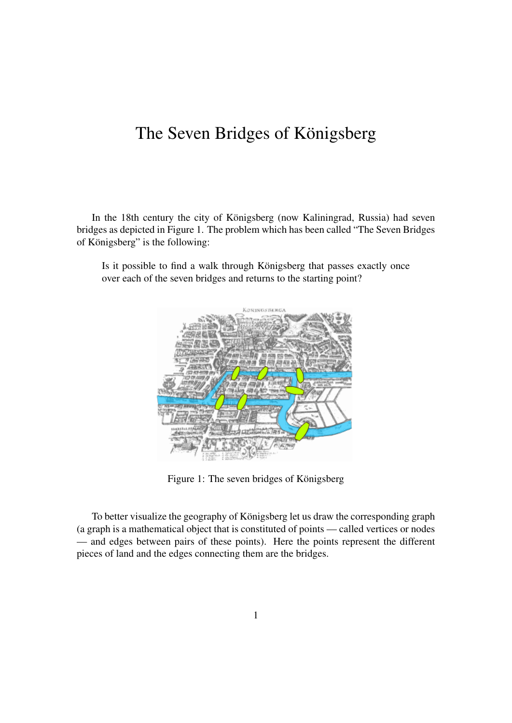## The Seven Bridges of Königsberg

In the 18th century the city of Königsberg (now Kaliningrad, Russia) had seven bridges as depicted in Figure 1. The problem which has been called "The Seven Bridges of Königsberg" is the following:

Is it possible to find a walk through Königsberg that passes exactly once over each of the seven bridges and returns to the starting point?



Figure 1: The seven bridges of Königsberg

To better visualize the geography of Königsberg let us draw the corresponding graph (a graph is a mathematical object that is constituted of points — called vertices or nodes — and edges between pairs of these points). Here the points represent the different pieces of land and the edges connecting them are the bridges.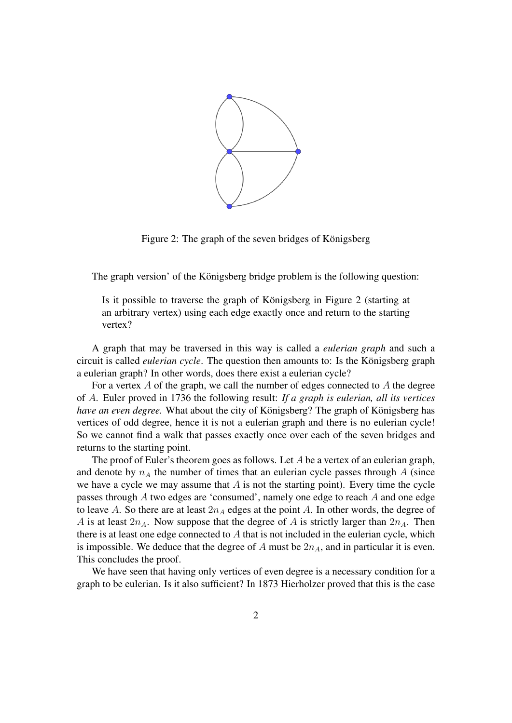

Figure 2: The graph of the seven bridges of Königsberg

The graph version' of the Königsberg bridge problem is the following question:

Is it possible to traverse the graph of Königsberg in Figure 2 (starting at an arbitrary vertex) using each edge exactly once and return to the starting vertex?

A graph that may be traversed in this way is called a *eulerian graph* and such a circuit is called *eulerian cycle*. The question then amounts to: Is the Königsberg graph a eulerian graph? In other words, does there exist a eulerian cycle?

For a vertex  $A$  of the graph, we call the number of edges connected to  $A$  the degree of A. Euler proved in 1736 the following result: *If a graph is eulerian, all its vertices have an even degree.* What about the city of Königsberg? The graph of Königsberg has vertices of odd degree, hence it is not a eulerian graph and there is no eulerian cycle! So we cannot find a walk that passes exactly once over each of the seven bridges and returns to the starting point.

The proof of Euler's theorem goes as follows. Let A be a vertex of an eulerian graph, and denote by  $n_A$  the number of times that an eulerian cycle passes through A (since we have a cycle we may assume that  $A$  is not the starting point). Every time the cycle passes through A two edges are 'consumed', namely one edge to reach A and one edge to leave A. So there are at least  $2n_A$  edges at the point A. In other words, the degree of A is at least  $2n_A$ . Now suppose that the degree of A is strictly larger than  $2n_A$ . Then there is at least one edge connected to  $A$  that is not included in the eulerian cycle, which is impossible. We deduce that the degree of  $A$  must be  $2n_A$ , and in particular it is even. This concludes the proof.

We have seen that having only vertices of even degree is a necessary condition for a graph to be eulerian. Is it also sufficient? In 1873 Hierholzer proved that this is the case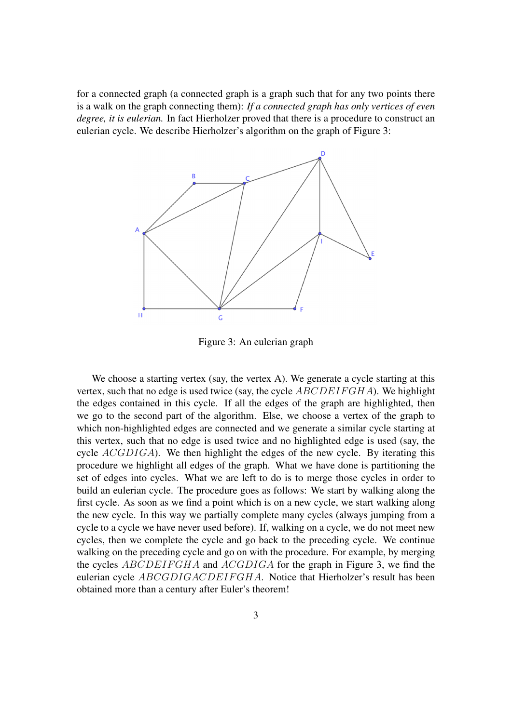for a connected graph (a connected graph is a graph such that for any two points there is a walk on the graph connecting them): *If a connected graph has only vertices of even degree, it is eulerian.* In fact Hierholzer proved that there is a procedure to construct an eulerian cycle. We describe Hierholzer's algorithm on the graph of Figure 3:



Figure 3: An eulerian graph

We choose a starting vertex (say, the vertex A). We generate a cycle starting at this vertex, such that no edge is used twice (say, the cycle  $ABCDEIFGHA$ ). We highlight the edges contained in this cycle. If all the edges of the graph are highlighted, then we go to the second part of the algorithm. Else, we choose a vertex of the graph to which non-highlighted edges are connected and we generate a similar cycle starting at this vertex, such that no edge is used twice and no highlighted edge is used (say, the cycle ACGDIGA). We then highlight the edges of the new cycle. By iterating this procedure we highlight all edges of the graph. What we have done is partitioning the set of edges into cycles. What we are left to do is to merge those cycles in order to build an eulerian cycle. The procedure goes as follows: We start by walking along the first cycle. As soon as we find a point which is on a new cycle, we start walking along the new cycle. In this way we partially complete many cycles (always jumping from a cycle to a cycle we have never used before). If, walking on a cycle, we do not meet new cycles, then we complete the cycle and go back to the preceding cycle. We continue walking on the preceding cycle and go on with the procedure. For example, by merging the cycles ABCDEIFGHA and ACGDIGA for the graph in Figure 3, we find the eulerian cycle ABCGDIGACDEIFGHA. Notice that Hierholzer's result has been obtained more than a century after Euler's theorem!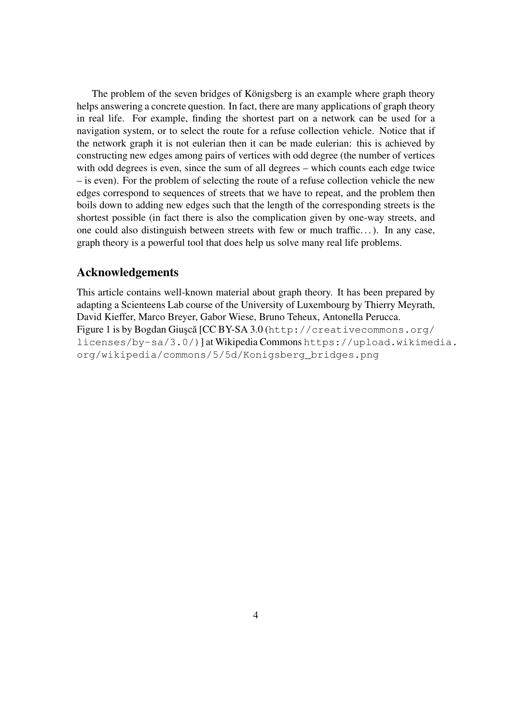The problem of the seven bridges of Königsberg is an example where graph theory helps answering a concrete question. In fact, there are many applications of graph theory in real life. For example, finding the shortest part on a network can be used for a navigation system, or to select the route for a refuse collection vehicle. Notice that if the network graph it is not eulerian then it can be made eulerian: this is achieved by constructing new edges among pairs of vertices with odd degree (the number of vertices with odd degrees is even, since the sum of all degrees – which counts each edge twice – is even). For the problem of selecting the route of a refuse collection vehicle the new edges correspond to sequences of streets that we have to repeat, and the problem then boils down to adding new edges such that the length of the corresponding streets is the shortest possible (in fact there is also the complication given by one-way streets, and one could also distinguish between streets with few or much traffic. . . ). In any case, graph theory is a powerful tool that does help us solve many real life problems.

## Acknowledgements

This article contains well-known material about graph theory. It has been prepared by adapting a Scienteens Lab course of the University of Luxembourg by Thierry Meyrath, David Kieffer, Marco Breyer, Gabor Wiese, Bruno Teheux, Antonella Perucca. Figure 1 is by Bogdan Giusçă [CC BY-SA 3.0 ([http://creativecommons.org/](http://creativecommons.org/licenses/by-sa/3.0/)) [licenses/by-sa/3.0/\)](http://creativecommons.org/licenses/by-sa/3.0/))] at Wikipedia Commons [https://upload.wikimed](https://upload.wikimedia.org/wikipedia/commons/5/5d/Konigsberg_bridges.png)ia. [org/wikipedia/commons/5/5d/Konigsberg\\_bridges.png](https://upload.wikimedia.org/wikipedia/commons/5/5d/Konigsberg_bridges.png)